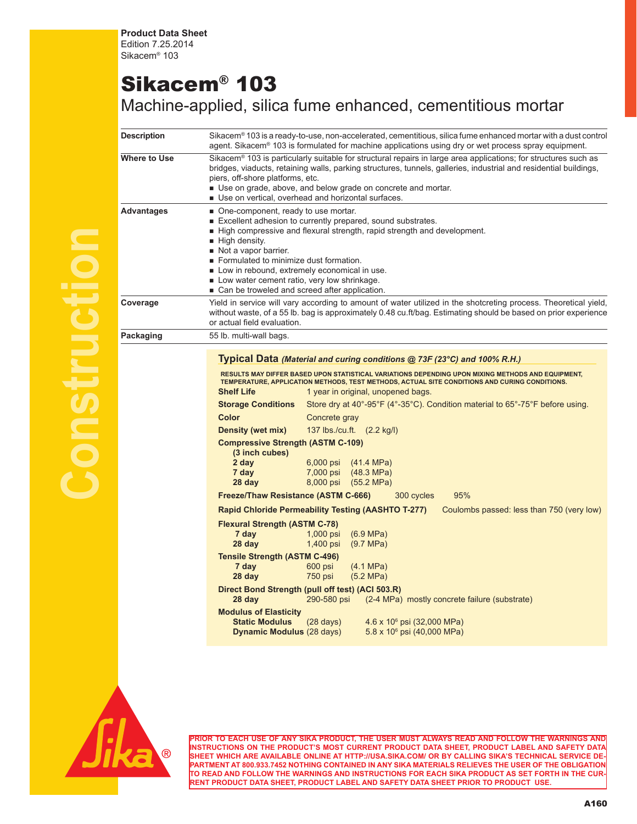**Product Data Sheet** Edition 7.25.2014 Sikacem® 103

## Sikacem® 103

Machine-applied, silica fume enhanced, cementitious mortar

| Description  | Sikacem® 103 is a ready-to-use, non-accelerated, cementitious, silica fume enhanced mortar with a dust control<br>agent. Sikacem® 103 is formulated for machine applications using dry or wet process spray equipment.                                                                                                                                                                                                                                                                                                                                                         |  |  |
|--------------|--------------------------------------------------------------------------------------------------------------------------------------------------------------------------------------------------------------------------------------------------------------------------------------------------------------------------------------------------------------------------------------------------------------------------------------------------------------------------------------------------------------------------------------------------------------------------------|--|--|
| Where to Use | Sikacem® 103 is particularly suitable for structural repairs in large area applications; for structures such as<br>bridges, viaducts, retaining walls, parking structures, tunnels, galleries, industrial and residential buildings,<br>piers, off-shore platforms, etc.<br>Use on grade, above, and below grade on concrete and mortar.<br>■ Use on vertical, overhead and horizontal surfaces.                                                                                                                                                                               |  |  |
| Advantages   | ■ One-component, ready to use mortar.<br>Excellent adhesion to currently prepared, sound substrates.<br>High compressive and flexural strength, rapid strength and development.<br>High density.<br>Not a vapor barrier.<br>Formulated to minimize dust formation.<br>Low in rebound, extremely economical in use.<br>Low water cement ratio, very low shrinkage.<br>■ Can be troweled and screed after application.                                                                                                                                                           |  |  |
| Coverage     | Yield in service will vary according to amount of water utilized in the shotcreting process. Theoretical yield,<br>without waste, of a 55 lb. bag is approximately 0.48 cu.ft/bag. Estimating should be based on prior experience<br>or actual field evaluation.                                                                                                                                                                                                                                                                                                               |  |  |
| Packaging    | 55 lb. multi-wall bags.                                                                                                                                                                                                                                                                                                                                                                                                                                                                                                                                                        |  |  |
|              | Typical Data (Material and curing conditions @ 73F (23°C) and 100% R.H.)<br>RESULTS MAY DIFFER BASED UPON STATISTICAL VARIATIONS DEPENDING UPON MIXING METHODS AND EQUIPMENT,<br>TEMPERATURE, APPLICATION METHODS, TEST METHODS, ACTUAL SITE CONDITIONS AND CURING CONDITIONS.<br><b>Shelf Life</b><br>1 year in original, unopened bags.<br><b>Storage Conditions</b><br>Store dry at $40^{\circ}$ -95°F (4°-35°C). Condition material to $65^{\circ}$ -75°F before using.<br>Color<br>Concrete gray<br>137 lbs./cu.ft. (2.2 kg/l)<br>Density (wet mix)                       |  |  |
|              | <b>Compressive Strength (ASTM C-109)</b><br>(3 inch cubes)<br>2 day<br>(41.4 MPa)<br>$6,000$ psi<br>7 day<br>7,000 psi<br>$(48.3 \text{ MPa})$<br>8,000 psi<br>28 day<br>$(55.2 \, MPa)$<br>95%<br><b>Freeze/Thaw Resistance (ASTM C-666)</b><br>300 cycles<br><b>Rapid Chloride Permeability Testing (AASHTO T-277)</b><br>Coulombs passed: less than 750 (very low)                                                                                                                                                                                                          |  |  |
|              | <b>Flexural Strength (ASTM C-78)</b><br>7 day<br>$(6.9 \text{ MPa})$<br>$1,000$ psi<br>(9.7 MPa)<br>28 day<br>1,400 psi<br><b>Tensile Strength (ASTM C-496)</b><br>7 day<br>600 psi<br>$(4.1 \text{ MPa})$<br>28 day<br>750 psi<br>(5.2 MPa)<br>Direct Bond Strength (pull off test) (ACI 503.R)<br>290-580 psi<br>28 day<br>(2-4 MPa) mostly concrete failure (substrate)<br><b>Modulus of Elasticity</b><br><b>Static Modulus</b><br>$(28 \text{ days})$<br>4.6 x 10 <sup>6</sup> psi (32,000 MPa)<br><b>Dynamic Modulus (28 days)</b><br>$5.8 \times 10^6$ psi (40,000 MPa) |  |  |
|              |                                                                                                                                                                                                                                                                                                                                                                                                                                                                                                                                                                                |  |  |



**Construction**

**PRIOR TO EACH USE OF ANY SIKA PRODUCT, THE USER MUST ALWAYS READ AND FOLLOW THE WARNINGS AND INSTRUCTIONS ON THE PRODUCT'S MOST CURRENT PRODUCT DATA SHEET, PRODUCT LABEL AND SAFETY DATA SHEET WHICH ARE AVAILABLE ONLINE AT HTTP://USA.SIKA.COM/ OR BY CALLING SIKA'S TECHNICAL SERVICE DE-PARTMENT AT 800.933.7452 NOTHING CONTAINED IN ANY SIKA MATERIALS RELIEVES THE USER OF THE OBLIGATION TO READ AND FOLLOW THE WARNINGS AND INSTRUCTIONS FOR EACH SIKA PRODUCT AS SET FORTH IN THE CUR-RENT PRODUCT DATA SHEET, PRODUCT LABEL AND SAFETY DATA SHEET PRIOR TO PRODUCT USE.**